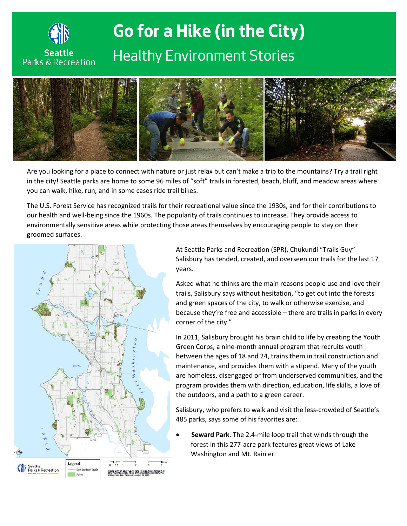

## **Go for a Hike (in the City)** *Healthy Environment Stories*



Are you looking for a place to connect with nature or just relax but can't make a trip to the mountains? Try a trail right in the city! Seattle parks are home to some 96 miles of "soft" trails in forested, beach, bluff, and meadow areas where you can walk, hike, run, and in some cases ride trail bikes.

The U.S. Forest Service has recognized trails for their recreational value since the 1930s, and for their contributions to our health and well-being since the 1960s. The popularity of trails continues to increase. They provide access to environmentally sensitive areas while protecting those areas themselves by encouraging people to stay on their groomed surfaces.



At Seattle Parks and Recreation (SPR), Chukundi "Trails Guy" Salisbury has tended, created, and overseen our trails for the last 17 years.

Asked what he thinks are the main reasons people use and love their trails, Salisbury says without hesitation, "to get out into the forests and green spaces of the city, to walk or otherwise exercise, and because they're free and accessible – there are trails in parks in every corner of the city."

In 2011, Salisbury brought his brain child to life by creating the Youth Green Corps, a nine-month annual program that recruits youth between the ages of 18 and 24, trains them in trail construction and maintenance, and provides them with a stipend. Many of the youth are homeless, disengaged or from underserved communities, and the program provides them with direction, education, life skills, a love of the outdoors, and a path to a green career.

Salisbury, who prefers to walk and visit the less-crowded of Seattle's 485 parks, says some of his favorites are:

• **Seward Park**. The 2.4-mile loop trail that winds through the forest in this 277-acre park features great views of Lake Washington and Mt. Rainier.